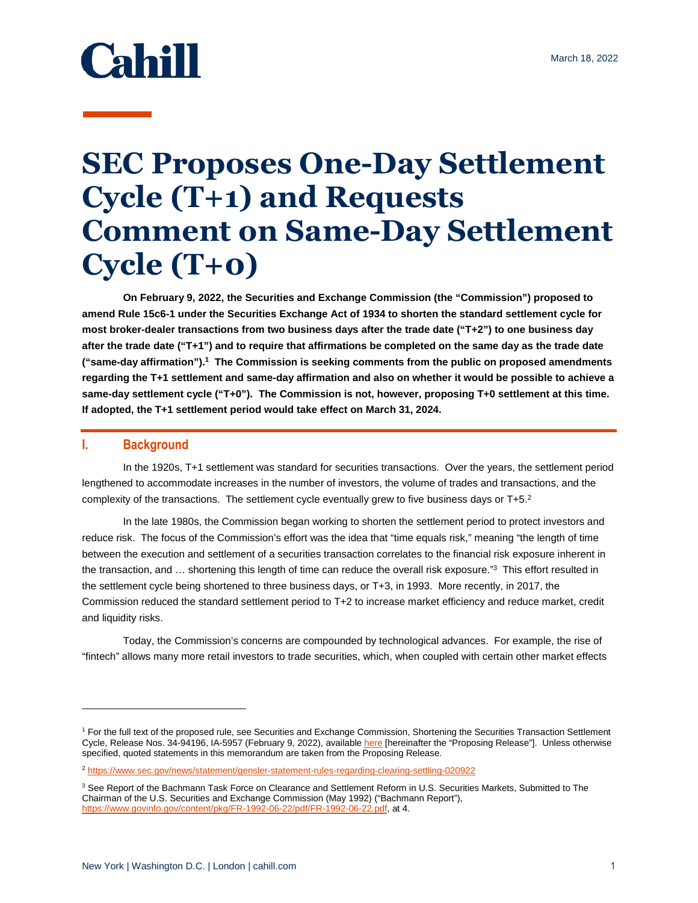# **Cahill**

## **SEC Proposes One-Day Settlement Cycle (T+1) and Requests Comment on Same-Day Settlement Cycle (T+0)**

**On February 9, 2022, the Securities and Exchange Commission (the "Commission") proposed to amend Rule 15c6-1 under the Securities Exchange Act of 1934 to shorten the standard settlement cycle for most broker-dealer transactions from two business days after the trade date ("T+2") to one business day after the trade date ("T+1") and to require that affirmations be completed on the same day as the trade date ("same-day affirmation").<sup>1</sup> The Commission is seeking comments from the public on proposed amendments regarding the T+1 settlement and same-day affirmation and also on whether it would be possible to achieve a same-day settlement cycle ("T+0"). The Commission is not, however, proposing T+0 settlement at this time. If adopted, the T+1 settlement period would take effect on March 31, 2024.** 

#### **I. Background**

l

In the 1920s, T+1 settlement was standard for securities transactions. Over the years, the settlement period lengthened to accommodate increases in the number of investors, the volume of trades and transactions, and the complexity of the transactions. The settlement cycle eventually grew to five business days or T+5.<sup>2</sup>

In the late 1980s, the Commission began working to shorten the settlement period to protect investors and reduce risk. The focus of the Commission's effort was the idea that "time equals risk," meaning "the length of time between the execution and settlement of a securities transaction correlates to the financial risk exposure inherent in the transaction, and ... shortening this length of time can reduce the overall risk exposure."<sup>3</sup> This effort resulted in the settlement cycle being shortened to three business days, or T+3, in 1993. More recently, in 2017, the Commission reduced the standard settlement period to T+2 to increase market efficiency and reduce market, credit and liquidity risks.

Today, the Commission's concerns are compounded by technological advances. For example, the rise of "fintech" allows many more retail investors to trade securities, which, when coupled with certain other market effects

<sup>&</sup>lt;sup>1</sup> For the full text of the proposed rule, see Securities and Exchange Commission, Shortening the Securities Transaction Settlement Cycle, Release Nos. 34-94196, IA-5957 (February 9, 2022), availabl[e here \[](https://www.sec.gov/rules/proposed/2022/34-94196.pdf)hereinafter the "Proposing Release"]. Unless otherwise specified, quoted statements in this memorandum are taken from the Proposing Release.

<sup>2</sup> <https://www.sec.gov/news/statement/gensler-statement-rules-regarding-clearing-settling-020922>

<sup>&</sup>lt;sup>3</sup> See Report of the Bachmann Task Force on Clearance and Settlement Reform in U.S. Securities Markets, Submitted to The Chairman of the U.S. Securities and Exchange Commission (May 1992) ("Bachmann Report"), [https://www.govinfo.gov/content/pkg/FR-1992-06-22/pdf/FR-1992-06-22.pdf,](https://www.govinfo.gov/content/pkg/FR-1992-06-22/pdf/FR-1992-06-22.pdf) at 4.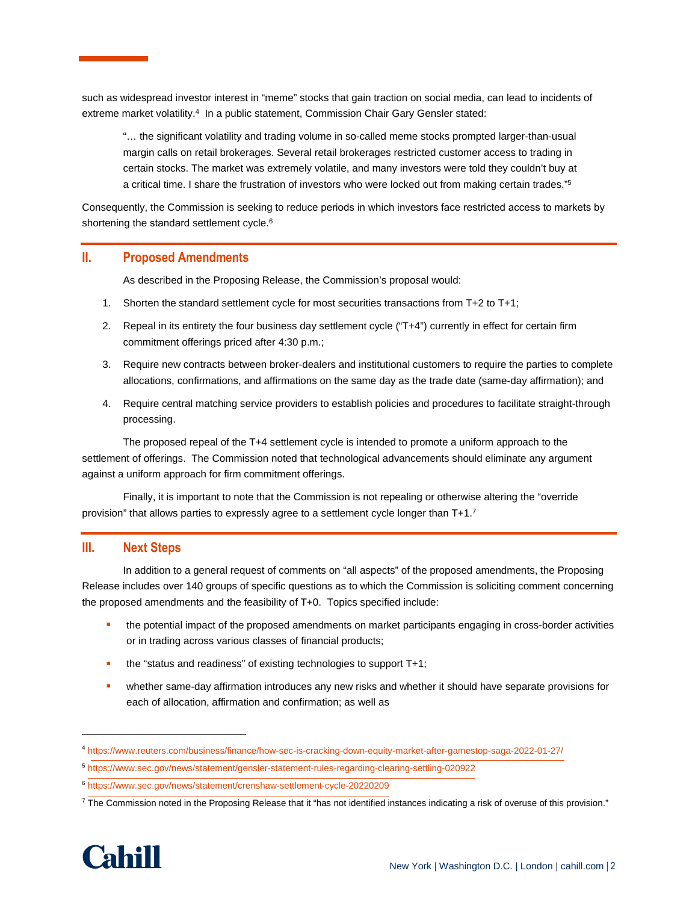such as widespread investor interest in "meme" stocks that gain traction on social media, can lead to incidents of extreme market volatility.<sup>4</sup> In a public statement, Commission Chair Gary Gensler stated:

"… the significant volatility and trading volume in so-called meme stocks prompted larger-than-usual margin calls on retail brokerages. Several retail brokerages restricted customer access to trading in certain stocks. The market was extremely volatile, and many investors were told they couldn't buy at a critical time. I share the frustration of investors who were locked out from making certain trades." 5

Consequently, the Commission is seeking to reduce periods in which investors face restricted access to markets by shortening the standard settlement cycle.<sup>6</sup>

#### **II. Proposed Amendments**

As described in the Proposing Release, the Commission's proposal would:

- 1. Shorten the standard settlement cycle for most securities transactions from T+2 to T+1;
- 2. Repeal in its entirety the four business day settlement cycle ("T+4") currently in effect for certain firm commitment offerings priced after 4:30 p.m.;
- 3. Require new contracts between broker-dealers and institutional customers to require the parties to complete allocations, confirmations, and affirmations on the same day as the trade date (same-day affirmation); and
- 4. Require central matching service providers to establish policies and procedures to facilitate straight-through processing.

The proposed repeal of the T+4 settlement cycle is intended to promote a uniform approach to the settlement of offerings. The Commission noted that technological advancements should eliminate any argument against a uniform approach for firm commitment offerings.

Finally, it is important to note that the Commission is not repealing or otherwise altering the "override provision" that allows parties to expressly agree to a settlement cycle longer than T+1.7

### **III. Next Steps**

In addition to a general request of comments on "all aspects" of the proposed amendments, the Proposing Release includes over 140 groups of specific questions as to which the Commission is soliciting comment concerning the proposed amendments and the feasibility of T+0. Topics specified include:

- the potential impact of the proposed amendments on market participants engaging in cross-border activities or in trading across various classes of financial products;
- the "status and readiness" of existing technologies to support T+1;
- **•** whether same-day affirmation introduces any new risks and whether it should have separate provisions for each of allocation, affirmation and confirmation; as well as

 $7$  The Commission noted in the Proposing Release that it "has not identified instances indicating a risk of overuse of this provision."



 $\overline{a}$ 

<sup>4</sup> <https://www.reuters.com/business/finance/how-sec-is-cracking-down-equity-market-after-gamestop-saga-2022-01-27/>

<sup>5</sup> https://www.sec.gov/news/statement/gensler-statement-rules-regarding-clearing-settling-020922

<sup>6</sup> [https://www.sec.gov/news/statement/crenshaw-settlement-cycle-20220209](https://www.sec.gov/news/statement/gensler-statement-rules-regarding-clearing-settling-020922)